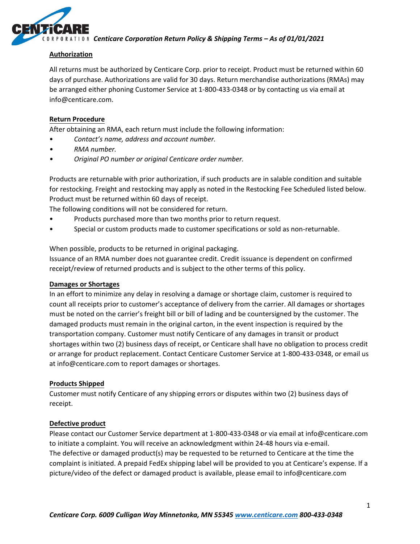

*Centicare Corporation Return Policy & Shipping Terms – As of 01/01/2021*

## **Authorization**

All returns must be authorized by Centicare Corp. prior to receipt. Product must be returned within 60 days of purchase. Authorizations are valid for 30 days. Return merchandise authorizations (RMAs) may be arranged either phoning Customer Service at 1-800-433-0348 or by contacting us via email at info@centicare.com.

## **Return Procedure**

After obtaining an RMA, each return must include the following information:

- *Contact's name, address and account number.*
- *• RMA number.*
- *• Original PO number or original Centicare order number.*

Products are returnable with prior authorization, if such products are in salable condition and suitable for restocking. Freight and restocking may apply as noted in the Restocking Fee Scheduled listed below. Product must be returned within 60 days of receipt.

The following conditions will not be considered for return.

- Products purchased more than two months prior to return request.
- Special or custom products made to customer specifications or sold as non-returnable.

When possible, products to be returned in original packaging.

Issuance of an RMA number does not guarantee credit. Credit issuance is dependent on confirmed receipt/review of returned products and is subject to the other terms of this policy.

### **Damages or Shortages**

In an effort to minimize any delay in resolving a damage or shortage claim, customer is required to count all receipts prior to customer's acceptance of delivery from the carrier. All damages or shortages must be noted on the carrier's freight bill or bill of lading and be countersigned by the customer. The damaged products must remain in the original carton, in the event inspection is required by the transportation company. Customer must notify Centicare of any damages in transit or product shortages within two (2) business days of receipt, or Centicare shall have no obligation to process credit or arrange for product replacement. Contact Centicare Customer Service at 1-800-433-0348, or email us at info@centicare.com to report damages or shortages.

### **Products Shipped**

Customer must notify Centicare of any shipping errors or disputes within two (2) business days of receipt.

### **Defective product**

Please contact our Customer Service department at 1-800‐433-0348 or via email at info@centicare.com to initiate a complaint. You will receive an acknowledgment within 24‐48 hours via e‐email. The defective or damaged product(s) may be requested to be returned to Centicare at the time the complaint is initiated. A prepaid FedEx shipping label will be provided to you at Centicare's expense. If a picture/video of the defect or damaged product is available, please email to info@centicare.com